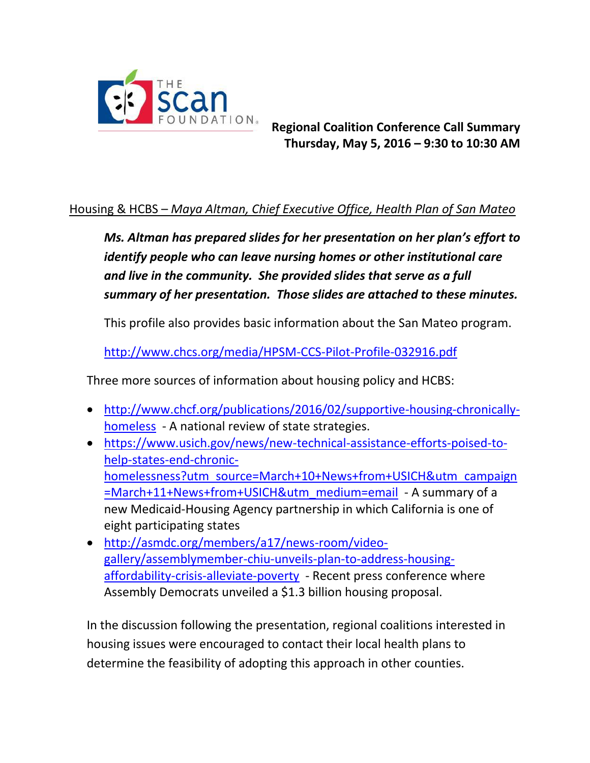

**Regional Coalition Conference Call Summary Thursday, May 5, 2016 – 9:30 to 10:30 AM**

#### Housing & HCBS – *Maya Altman, Chief Executive Office, Health Plan of San Mateo*

*Ms. Altman has prepared slides for her presentation on her plan's effort to identify people who can leave nursing homes or other institutional care and live in the community. She provided slides that serve as a full summary of her presentation. Those slides are attached to these minutes.*

This profile also provides basic information about the San Mateo program.

<http://www.chcs.org/media/HPSM-CCS-Pilot-Profile-032916.pdf>

Three more sources of information about housing policy and HCBS:

- [http://www.chcf.org/publications/2016/02/supportive-housing-chronically](http://www.chcf.org/publications/2016/02/supportive-housing-chronically-homeless)[homeless](http://www.chcf.org/publications/2016/02/supportive-housing-chronically-homeless) - A national review of state strategies.
- [https://www.usich.gov/news/new-technical-assistance-efforts-poised-to](https://www.usich.gov/news/new-technical-assistance-efforts-poised-to-help-states-end-chronic-homelessness?utm_source=March+10+News+from+USICH&utm_campaign=March+11+News+from+USICH&utm_medium=email)[help-states-end-chronic](https://www.usich.gov/news/new-technical-assistance-efforts-poised-to-help-states-end-chronic-homelessness?utm_source=March+10+News+from+USICH&utm_campaign=March+11+News+from+USICH&utm_medium=email)[homelessness?utm\\_source=March+10+News+from+USICH&utm\\_campaign](https://www.usich.gov/news/new-technical-assistance-efforts-poised-to-help-states-end-chronic-homelessness?utm_source=March+10+News+from+USICH&utm_campaign=March+11+News+from+USICH&utm_medium=email) [=March+11+News+from+USICH&utm\\_medium=email](https://www.usich.gov/news/new-technical-assistance-efforts-poised-to-help-states-end-chronic-homelessness?utm_source=March+10+News+from+USICH&utm_campaign=March+11+News+from+USICH&utm_medium=email) - A summary of a new Medicaid-Housing Agency partnership in which California is one of eight participating states
- [http://asmdc.org/members/a17/news-room/video](http://asmdc.org/members/a17/news-room/video-gallery/assemblymember-chiu-unveils-plan-to-address-housing-affordability-crisis-alleviate-poverty)[gallery/assemblymember-chiu-unveils-plan-to-address-housing](http://asmdc.org/members/a17/news-room/video-gallery/assemblymember-chiu-unveils-plan-to-address-housing-affordability-crisis-alleviate-poverty)[affordability-crisis-alleviate-poverty](http://asmdc.org/members/a17/news-room/video-gallery/assemblymember-chiu-unveils-plan-to-address-housing-affordability-crisis-alleviate-poverty) - Recent press conference where Assembly Democrats unveiled a \$1.3 billion housing proposal.

In the discussion following the presentation, regional coalitions interested in housing issues were encouraged to contact their local health plans to determine the feasibility of adopting this approach in other counties.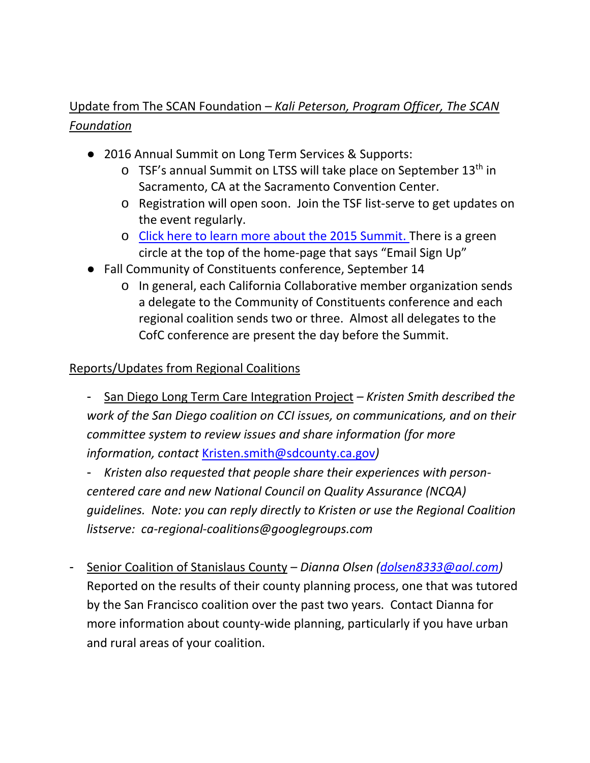## Update from The SCAN Foundation – *Kali Peterson, Program Officer, The SCAN Foundation*

- 2016 Annual Summit on Long Term Services & Supports:
	- o TSF's annual Summit on LTSS will take place on September 13<sup>th</sup> in Sacramento, CA at the Sacramento Convention Center.
	- o Registration will open soon. Join the TSF list-serve to get updates on the event regularly.
	- o [Click here to learn more about the 2015 Summit.](http://www.thescanfoundation.org/perspectives-navigating-change-toward-person-centered-care-themes-2015-ca-summit-ltss) There is a green circle at the top of the home-page that says "Email Sign Up"
- Fall Community of Constituents conference, September 14
	- o In general, each California Collaborative member organization sends a delegate to the Community of Constituents conference and each regional coalition sends two or three. Almost all delegates to the CofC conference are present the day before the Summit.

#### Reports/Updates from Regional Coalitions

- San Diego Long Term Care Integration Project *– Kristen Smith described the work of the San Diego coalition on CCI issues, on communications, and on their committee system to review issues and share information (for more information, contact* [Kristen.smith@sdcounty.ca.gov](mailto:Kristen.smith@sdcounty.ca.gov)*)*

- *Kristen also requested that people share their experiences with personcentered care and new National Council on Quality Assurance (NCQA) guidelines. Note: you can reply directly to Kristen or use the Regional Coalition listserve: ca-regional-coalitions@googlegroups.com*

- Senior Coalition of Stanislaus County – *Dianna Olsen [\(dolsen8333@aol.com\)](mailto:dolsen8333@aol.com)* Reported on the results of their county planning process, one that was tutored by the San Francisco coalition over the past two years. Contact Dianna for more information about county-wide planning, particularly if you have urban and rural areas of your coalition.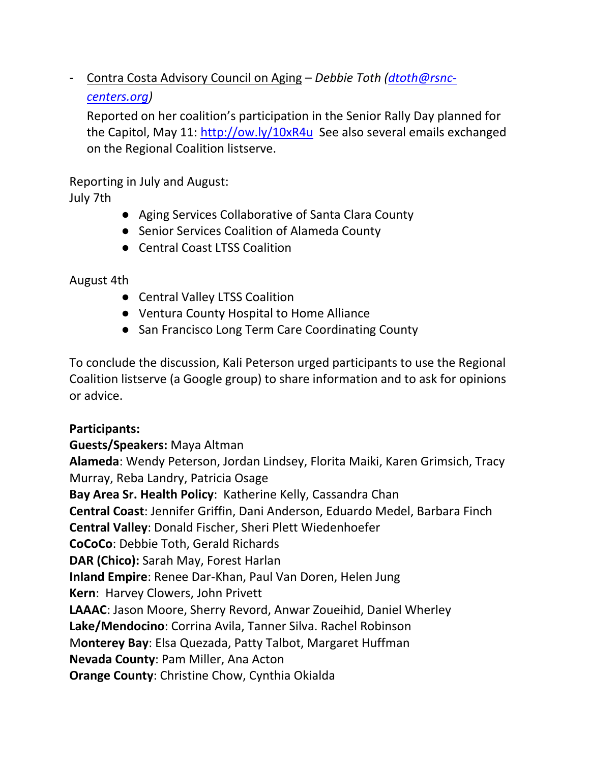# - Contra Costa Advisory Council on Aging – *Debbie Toth [\(dtoth@rsnc](mailto:dtoth@rsnc-centers.org)[centers.org\)](mailto:dtoth@rsnc-centers.org)*

Reported on her coalition's participation in the Senior Rally Day planned for the Capitol, May 11:<http://ow.ly/10xR4u>See also several emails exchanged on the Regional Coalition listserve.

Reporting in July and August:

July 7th

- Aging Services Collaborative of Santa Clara County
- Senior Services Coalition of Alameda County
- Central Coast LTSS Coalition

August 4th

- Central Valley LTSS Coalition
- Ventura County Hospital to Home Alliance
- San Francisco Long Term Care Coordinating County

To conclude the discussion, Kali Peterson urged participants to use the Regional Coalition listserve (a Google group) to share information and to ask for opinions or advice.

### **Participants:**

**Guests/Speakers:** Maya Altman **Alameda**: Wendy Peterson, Jordan Lindsey, Florita Maiki, Karen Grimsich, Tracy Murray, Reba Landry, Patricia Osage **Bay Area Sr. Health Policy**: Katherine Kelly, Cassandra Chan **Central Coast**: Jennifer Griffin, Dani Anderson, Eduardo Medel, Barbara Finch **Central Valley**: Donald Fischer, Sheri Plett Wiedenhoefer **CoCoCo**: Debbie Toth, Gerald Richards **DAR (Chico):** Sarah May, Forest Harlan **Inland Empire**: Renee Dar-Khan, Paul Van Doren, Helen Jung **Kern**: Harvey Clowers, John Privett **LAAAC**: Jason Moore, Sherry Revord, Anwar Zoueihid, Daniel Wherley **Lake/Mendocino**: Corrina Avila, Tanner Silva. Rachel Robinson M**onterey Bay**: Elsa Quezada, Patty Talbot, Margaret Huffman **Nevada County**: Pam Miller, Ana Acton **Orange County**: Christine Chow, Cynthia Okialda